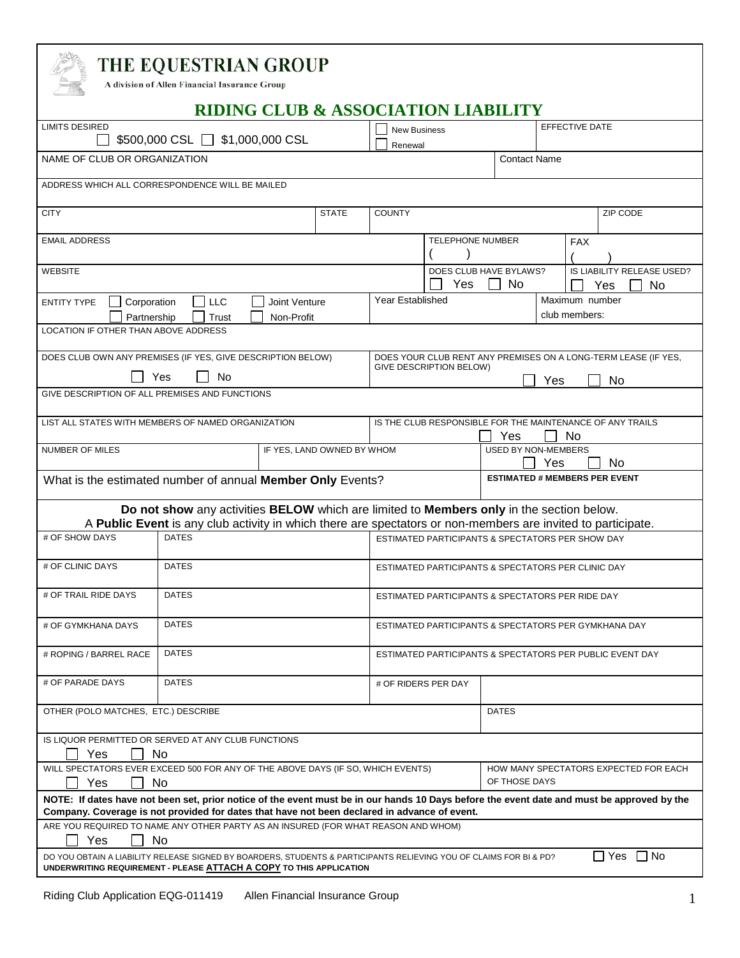| THE EQUESTRIAN GROUP<br>A division of Allen Financial Insurance Group                                                                                                                                                                      |                                                                                                                                                                                                          |                            |                                                          |                                                                                           |                                                  |                     |                |                                         |
|--------------------------------------------------------------------------------------------------------------------------------------------------------------------------------------------------------------------------------------------|----------------------------------------------------------------------------------------------------------------------------------------------------------------------------------------------------------|----------------------------|----------------------------------------------------------|-------------------------------------------------------------------------------------------|--------------------------------------------------|---------------------|----------------|-----------------------------------------|
|                                                                                                                                                                                                                                            | <b>RIDING CLUB &amp; ASSOCIATION LIABILITY</b>                                                                                                                                                           |                            |                                                          |                                                                                           |                                                  |                     |                |                                         |
| <b>LIMITS DESIRED</b><br>$$500,000 \text{ CSL}$ \$1,000,000 CSL                                                                                                                                                                            |                                                                                                                                                                                                          |                            |                                                          | <b>New Business</b><br>Renewal                                                            |                                                  |                     | EFFECTIVE DATE |                                         |
| NAME OF CLUB OR ORGANIZATION                                                                                                                                                                                                               |                                                                                                                                                                                                          |                            |                                                          |                                                                                           |                                                  | <b>Contact Name</b> |                |                                         |
| ADDRESS WHICH ALL CORRESPONDENCE WILL BE MAILED                                                                                                                                                                                            |                                                                                                                                                                                                          |                            |                                                          |                                                                                           |                                                  |                     |                |                                         |
| <b>CITY</b>                                                                                                                                                                                                                                |                                                                                                                                                                                                          | <b>STATE</b>               |                                                          | <b>COUNTY</b>                                                                             |                                                  |                     |                | ZIP CODE                                |
| <b>EMAIL ADDRESS</b>                                                                                                                                                                                                                       |                                                                                                                                                                                                          |                            |                                                          |                                                                                           | <b>TELEPHONE NUMBER</b><br><b>FAX</b>            |                     |                |                                         |
| <b>WEBSITE</b>                                                                                                                                                                                                                             |                                                                                                                                                                                                          |                            |                                                          |                                                                                           | DOES CLUB HAVE BYLAWS?<br>Yes<br><b>No</b>       |                     |                | IS LIABILITY RELEASE USED?<br>No<br>Yes |
| <b>ENTITY TYPE</b><br>Corporation<br>Partnership                                                                                                                                                                                           | <b>LLC</b><br>Joint Venture<br>Trust<br>Non-Profit                                                                                                                                                       |                            |                                                          | <b>Year Established</b>                                                                   |                                                  |                     | club members:  | Maximum number                          |
| LOCATION IF OTHER THAN ABOVE ADDRESS                                                                                                                                                                                                       |                                                                                                                                                                                                          |                            |                                                          |                                                                                           |                                                  |                     |                |                                         |
|                                                                                                                                                                                                                                            | DOES CLUB OWN ANY PREMISES (IF YES, GIVE DESCRIPTION BELOW)<br>Yes<br>No                                                                                                                                 |                            |                                                          | DOES YOUR CLUB RENT ANY PREMISES ON A LONG-TERM LEASE (IF YES,<br>GIVE DESCRIPTION BELOW) |                                                  |                     |                |                                         |
|                                                                                                                                                                                                                                            | GIVE DESCRIPTION OF ALL PREMISES AND FUNCTIONS                                                                                                                                                           |                            |                                                          |                                                                                           |                                                  |                     | Yes            | No                                      |
|                                                                                                                                                                                                                                            | LIST ALL STATES WITH MEMBERS OF NAMED ORGANIZATION                                                                                                                                                       |                            |                                                          | IS THE CLUB RESPONSIBLE FOR THE MAINTENANCE OF ANY TRAILS<br>Yes                          |                                                  |                     | No             |                                         |
| <b>NUMBER OF MILES</b>                                                                                                                                                                                                                     |                                                                                                                                                                                                          | IF YES, LAND OWNED BY WHOM |                                                          | <b>USED BY NON-MEMBERS</b>                                                                |                                                  |                     | Yes            | No                                      |
| <b>ESTIMATED # MEMBERS PER EVENT</b><br>What is the estimated number of annual Member Only Events?                                                                                                                                         |                                                                                                                                                                                                          |                            |                                                          |                                                                                           |                                                  |                     |                |                                         |
|                                                                                                                                                                                                                                            | Do not show any activities BELOW which are limited to Members only in the section below.<br>A Public Event is any club activity in which there are spectators or non-members are invited to participate. |                            |                                                          |                                                                                           |                                                  |                     |                |                                         |
| # OF SHOW DAYS                                                                                                                                                                                                                             | <b>DATES</b>                                                                                                                                                                                             |                            |                                                          |                                                                                           | ESTIMATED PARTICIPANTS & SPECTATORS PER SHOW DAY |                     |                |                                         |
| # OF CLINIC DAYS                                                                                                                                                                                                                           | <b>DATES</b>                                                                                                                                                                                             |                            |                                                          | ESTIMATED PARTICIPANTS & SPECTATORS PER CLINIC DAY                                        |                                                  |                     |                |                                         |
| # OF TRAIL RIDE DAYS                                                                                                                                                                                                                       | <b>DATES</b>                                                                                                                                                                                             |                            |                                                          | ESTIMATED PARTICIPANTS & SPECTATORS PER RIDE DAY                                          |                                                  |                     |                |                                         |
| <b>DATES</b><br># OF GYMKHANA DAYS                                                                                                                                                                                                         |                                                                                                                                                                                                          |                            | ESTIMATED PARTICIPANTS & SPECTATORS PER GYMKHANA DAY     |                                                                                           |                                                  |                     |                |                                         |
| <b>DATES</b><br># ROPING / BARREL RACE                                                                                                                                                                                                     |                                                                                                                                                                                                          |                            | ESTIMATED PARTICIPANTS & SPECTATORS PER PUBLIC EVENT DAY |                                                                                           |                                                  |                     |                |                                         |
| # OF PARADE DAYS                                                                                                                                                                                                                           | <b>DATES</b>                                                                                                                                                                                             |                            |                                                          |                                                                                           | # OF RIDERS PER DAY                              |                     |                |                                         |
| OTHER (POLO MATCHES, ETC.) DESCRIBE                                                                                                                                                                                                        |                                                                                                                                                                                                          |                            |                                                          | <b>DATES</b>                                                                              |                                                  |                     |                |                                         |
| Yes                                                                                                                                                                                                                                        | IS LIQUOR PERMITTED OR SERVED AT ANY CLUB FUNCTIONS<br>No.                                                                                                                                               |                            |                                                          |                                                                                           |                                                  |                     |                |                                         |
| WILL SPECTATORS EVER EXCEED 500 FOR ANY OF THE ABOVE DAYS (IF SO, WHICH EVENTS)<br>Yes<br>No                                                                                                                                               |                                                                                                                                                                                                          |                            |                                                          | HOW MANY SPECTATORS EXPECTED FOR EACH<br>OF THOSE DAYS                                    |                                                  |                     |                |                                         |
| NOTE: If dates have not been set, prior notice of the event must be in our hands 10 Days before the event date and must be approved by the<br>Company. Coverage is not provided for dates that have not been declared in advance of event. |                                                                                                                                                                                                          |                            |                                                          |                                                                                           |                                                  |                     |                |                                         |
| ARE YOU REQUIRED TO NAME ANY OTHER PARTY AS AN INSURED (FOR WHAT REASON AND WHOM)<br>Yes<br>No                                                                                                                                             |                                                                                                                                                                                                          |                            |                                                          |                                                                                           |                                                  |                     |                |                                         |
| $\Box$ No<br>∣ Yes<br>DO YOU OBTAIN A LIABILITY RELEASE SIGNED BY BOARDERS, STUDENTS & PARTICIPANTS RELIEVING YOU OF CLAIMS FOR BI & PD?<br>UNDERWRITING REQUIREMENT - PLEASE ATTACH A COPY TO THIS APPLICATION                            |                                                                                                                                                                                                          |                            |                                                          |                                                                                           |                                                  |                     |                |                                         |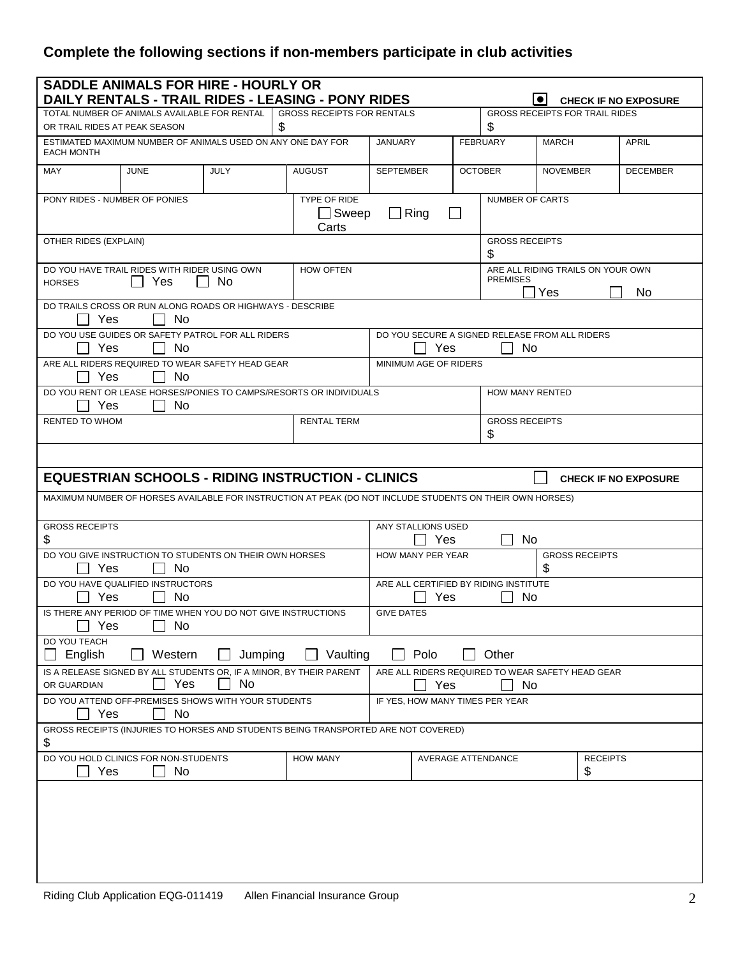# **Complete the following sections if non-members participate in club activities**

| <b>GROSS RECEIPTS FOR RENTALS</b><br><b>GROSS RECEIPTS FOR TRAIL RIDES</b><br>TOTAL NUMBER OF ANIMALS AVAILABLE FOR RENTAL<br>\$<br>\$<br>OR TRAIL RIDES AT PEAK SEASON<br>ESTIMATED MAXIMUM NUMBER OF ANIMALS USED ON ANY ONE DAY FOR<br><b>JANUARY</b><br><b>FEBRUARY</b><br><b>MARCH</b><br><b>EACH MONTH</b><br><b>MAY</b><br><b>JUNE</b><br><b>JULY</b><br><b>AUGUST</b><br><b>SEPTEMBER</b><br><b>OCTOBER</b><br><b>NOVEMBER</b><br>PONY RIDES - NUMBER OF PONIES<br><b>TYPE OF RIDE</b><br>NUMBER OF CARTS<br>$\Box$ Sweep<br>Ring<br>Carts<br>OTHER RIDES (EXPLAIN)<br><b>GROSS RECEIPTS</b><br>\$<br>ARE ALL RIDING TRAILS ON YOUR OWN<br>DO YOU HAVE TRAIL RIDES WITH RIDER USING OWN<br><b>HOW OFTEN</b><br><b>PREMISES</b><br>Yes<br>No.<br><b>HORSES</b><br>Yes<br>DO TRAILS CROSS OR RUN ALONG ROADS OR HIGHWAYS - DESCRIBE<br>Yes<br>No.<br>DO YOU USE GUIDES OR SAFETY PATROL FOR ALL RIDERS<br>DO YOU SECURE A SIGNED RELEASE FROM ALL RIDERS<br>Yes<br>Yes<br><b>No</b><br>No.<br>ARE ALL RIDERS REQUIRED TO WEAR SAFETY HEAD GEAR<br>MINIMUM AGE OF RIDERS<br><b>Yes</b><br>No<br>DO YOU RENT OR LEASE HORSES/PONIES TO CAMPS/RESORTS OR INDIVIDUALS<br>HOW MANY RENTED<br>Yes<br>No<br><b>GROSS RECEIPTS</b><br><b>RENTED TO WHOM</b><br><b>RENTAL TERM</b><br>\$ |                                                  |  |  |  |  |  |  |  |
|---------------------------------------------------------------------------------------------------------------------------------------------------------------------------------------------------------------------------------------------------------------------------------------------------------------------------------------------------------------------------------------------------------------------------------------------------------------------------------------------------------------------------------------------------------------------------------------------------------------------------------------------------------------------------------------------------------------------------------------------------------------------------------------------------------------------------------------------------------------------------------------------------------------------------------------------------------------------------------------------------------------------------------------------------------------------------------------------------------------------------------------------------------------------------------------------------------------------------------------------------------------------------------------|--------------------------------------------------|--|--|--|--|--|--|--|
|                                                                                                                                                                                                                                                                                                                                                                                                                                                                                                                                                                                                                                                                                                                                                                                                                                                                                                                                                                                                                                                                                                                                                                                                                                                                                       |                                                  |  |  |  |  |  |  |  |
|                                                                                                                                                                                                                                                                                                                                                                                                                                                                                                                                                                                                                                                                                                                                                                                                                                                                                                                                                                                                                                                                                                                                                                                                                                                                                       |                                                  |  |  |  |  |  |  |  |
|                                                                                                                                                                                                                                                                                                                                                                                                                                                                                                                                                                                                                                                                                                                                                                                                                                                                                                                                                                                                                                                                                                                                                                                                                                                                                       | <b>APRIL</b>                                     |  |  |  |  |  |  |  |
|                                                                                                                                                                                                                                                                                                                                                                                                                                                                                                                                                                                                                                                                                                                                                                                                                                                                                                                                                                                                                                                                                                                                                                                                                                                                                       | <b>DECEMBER</b>                                  |  |  |  |  |  |  |  |
|                                                                                                                                                                                                                                                                                                                                                                                                                                                                                                                                                                                                                                                                                                                                                                                                                                                                                                                                                                                                                                                                                                                                                                                                                                                                                       |                                                  |  |  |  |  |  |  |  |
|                                                                                                                                                                                                                                                                                                                                                                                                                                                                                                                                                                                                                                                                                                                                                                                                                                                                                                                                                                                                                                                                                                                                                                                                                                                                                       |                                                  |  |  |  |  |  |  |  |
|                                                                                                                                                                                                                                                                                                                                                                                                                                                                                                                                                                                                                                                                                                                                                                                                                                                                                                                                                                                                                                                                                                                                                                                                                                                                                       | No                                               |  |  |  |  |  |  |  |
|                                                                                                                                                                                                                                                                                                                                                                                                                                                                                                                                                                                                                                                                                                                                                                                                                                                                                                                                                                                                                                                                                                                                                                                                                                                                                       |                                                  |  |  |  |  |  |  |  |
|                                                                                                                                                                                                                                                                                                                                                                                                                                                                                                                                                                                                                                                                                                                                                                                                                                                                                                                                                                                                                                                                                                                                                                                                                                                                                       |                                                  |  |  |  |  |  |  |  |
|                                                                                                                                                                                                                                                                                                                                                                                                                                                                                                                                                                                                                                                                                                                                                                                                                                                                                                                                                                                                                                                                                                                                                                                                                                                                                       |                                                  |  |  |  |  |  |  |  |
|                                                                                                                                                                                                                                                                                                                                                                                                                                                                                                                                                                                                                                                                                                                                                                                                                                                                                                                                                                                                                                                                                                                                                                                                                                                                                       |                                                  |  |  |  |  |  |  |  |
|                                                                                                                                                                                                                                                                                                                                                                                                                                                                                                                                                                                                                                                                                                                                                                                                                                                                                                                                                                                                                                                                                                                                                                                                                                                                                       |                                                  |  |  |  |  |  |  |  |
|                                                                                                                                                                                                                                                                                                                                                                                                                                                                                                                                                                                                                                                                                                                                                                                                                                                                                                                                                                                                                                                                                                                                                                                                                                                                                       |                                                  |  |  |  |  |  |  |  |
| <b>EQUESTRIAN SCHOOLS - RIDING INSTRUCTION - CLINICS</b>                                                                                                                                                                                                                                                                                                                                                                                                                                                                                                                                                                                                                                                                                                                                                                                                                                                                                                                                                                                                                                                                                                                                                                                                                              | <b>CHECK IF NO EXPOSURE</b>                      |  |  |  |  |  |  |  |
| MAXIMUM NUMBER OF HORSES AVAILABLE FOR INSTRUCTION AT PEAK (DO NOT INCLUDE STUDENTS ON THEIR OWN HORSES)                                                                                                                                                                                                                                                                                                                                                                                                                                                                                                                                                                                                                                                                                                                                                                                                                                                                                                                                                                                                                                                                                                                                                                              |                                                  |  |  |  |  |  |  |  |
| ANY STALLIONS USED<br><b>GROSS RECEIPTS</b><br>\$<br>Yes<br><b>No</b>                                                                                                                                                                                                                                                                                                                                                                                                                                                                                                                                                                                                                                                                                                                                                                                                                                                                                                                                                                                                                                                                                                                                                                                                                 |                                                  |  |  |  |  |  |  |  |
| DO YOU GIVE INSTRUCTION TO STUDENTS ON THEIR OWN HORSES<br><b>HOW MANY PER YEAR</b><br><b>GROSS RECEIPTS</b><br>\$<br><b>Yes</b><br>No.                                                                                                                                                                                                                                                                                                                                                                                                                                                                                                                                                                                                                                                                                                                                                                                                                                                                                                                                                                                                                                                                                                                                               |                                                  |  |  |  |  |  |  |  |
| DO YOU HAVE QUALIFIED INSTRUCTORS<br>ARE ALL CERTIFIED BY RIDING INSTITUTE<br>Yes<br>No<br>Yes<br><b>No</b>                                                                                                                                                                                                                                                                                                                                                                                                                                                                                                                                                                                                                                                                                                                                                                                                                                                                                                                                                                                                                                                                                                                                                                           |                                                  |  |  |  |  |  |  |  |
| IS THERE ANY PERIOD OF TIME WHEN YOU DO NOT GIVE INSTRUCTIONS<br><b>GIVE DATES</b><br>No<br>Yes                                                                                                                                                                                                                                                                                                                                                                                                                                                                                                                                                                                                                                                                                                                                                                                                                                                                                                                                                                                                                                                                                                                                                                                       |                                                  |  |  |  |  |  |  |  |
| DO YOU TEACH<br>English<br>Jumping<br>Vaulting<br>Polo<br>Other<br>Western                                                                                                                                                                                                                                                                                                                                                                                                                                                                                                                                                                                                                                                                                                                                                                                                                                                                                                                                                                                                                                                                                                                                                                                                            |                                                  |  |  |  |  |  |  |  |
| IS A RELEASE SIGNED BY ALL STUDENTS OR, IF A MINOR, BY THEIR PARENT<br>Yes<br>No<br>Yes<br>OR GUARDIAN<br><b>No</b>                                                                                                                                                                                                                                                                                                                                                                                                                                                                                                                                                                                                                                                                                                                                                                                                                                                                                                                                                                                                                                                                                                                                                                   | ARE ALL RIDERS REQUIRED TO WEAR SAFETY HEAD GEAR |  |  |  |  |  |  |  |
| DO YOU ATTEND OFF-PREMISES SHOWS WITH YOUR STUDENTS<br>IF YES, HOW MANY TIMES PER YEAR<br>Yes<br>No                                                                                                                                                                                                                                                                                                                                                                                                                                                                                                                                                                                                                                                                                                                                                                                                                                                                                                                                                                                                                                                                                                                                                                                   |                                                  |  |  |  |  |  |  |  |
| GROSS RECEIPTS (INJURIES TO HORSES AND STUDENTS BEING TRANSPORTED ARE NOT COVERED)<br>\$                                                                                                                                                                                                                                                                                                                                                                                                                                                                                                                                                                                                                                                                                                                                                                                                                                                                                                                                                                                                                                                                                                                                                                                              |                                                  |  |  |  |  |  |  |  |
| DO YOU HOLD CLINICS FOR NON-STUDENTS<br><b>HOW MANY</b><br>AVERAGE ATTENDANCE<br>\$<br>Yes<br>No                                                                                                                                                                                                                                                                                                                                                                                                                                                                                                                                                                                                                                                                                                                                                                                                                                                                                                                                                                                                                                                                                                                                                                                      | <b>RECEIPTS</b>                                  |  |  |  |  |  |  |  |
|                                                                                                                                                                                                                                                                                                                                                                                                                                                                                                                                                                                                                                                                                                                                                                                                                                                                                                                                                                                                                                                                                                                                                                                                                                                                                       |                                                  |  |  |  |  |  |  |  |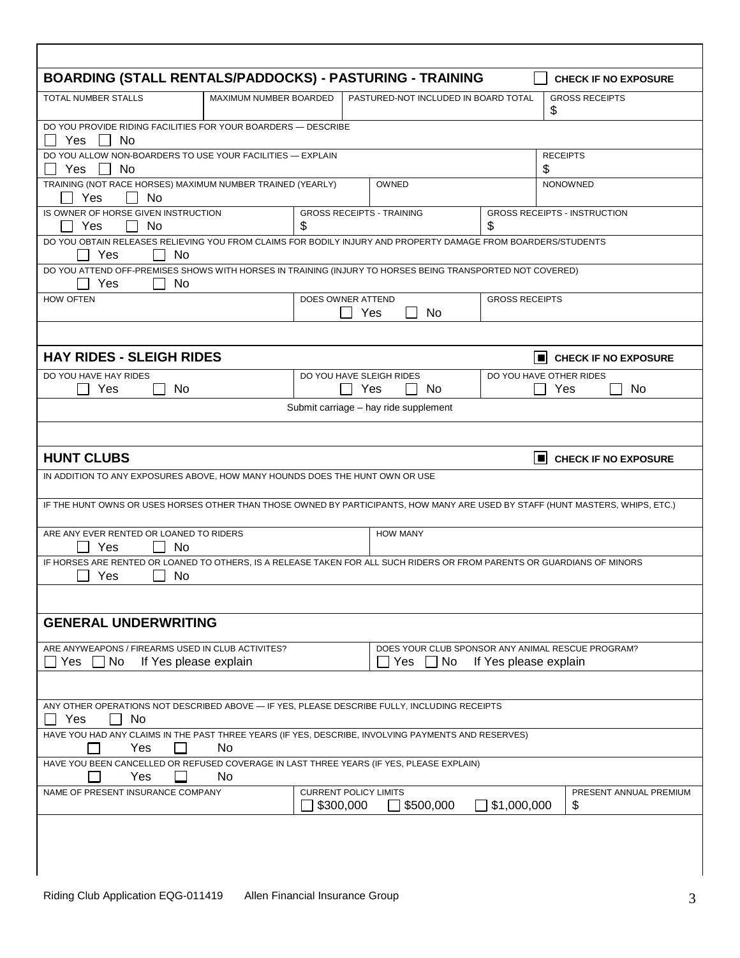| <b>TOTAL NUMBER STALLS</b>                                                                                                                                                                                     | MAXIMUM NUMBER BOARDED |                                        |     | PASTURED-NOT INCLUDED IN BOARD TOTAL              |                         |                 | <b>GROSS RECEIPTS</b>                       |
|----------------------------------------------------------------------------------------------------------------------------------------------------------------------------------------------------------------|------------------------|----------------------------------------|-----|---------------------------------------------------|-------------------------|-----------------|---------------------------------------------|
|                                                                                                                                                                                                                |                        |                                        |     |                                                   |                         | \$              |                                             |
| DO YOU PROVIDE RIDING FACILITIES FOR YOUR BOARDERS - DESCRIBE<br>Yes<br><b>No</b>                                                                                                                              |                        |                                        |     |                                                   |                         |                 |                                             |
| DO YOU ALLOW NON-BOARDERS TO USE YOUR FACILITIES - EXPLAIN                                                                                                                                                     |                        |                                        |     |                                                   |                         | <b>RECEIPTS</b> |                                             |
| No<br><b>Yes</b><br>TRAINING (NOT RACE HORSES) MAXIMUM NUMBER TRAINED (YEARLY)                                                                                                                                 |                        |                                        |     | OWNED                                             |                         | \$              | NONOWNED                                    |
| Yes<br><b>No</b>                                                                                                                                                                                               |                        |                                        |     |                                                   |                         |                 |                                             |
| IS OWNER OF HORSE GIVEN INSTRUCTION<br>Yes<br><b>No</b>                                                                                                                                                        |                        | <b>GROSS RECEIPTS - TRAINING</b><br>\$ |     |                                                   | \$                      |                 | <b>GROSS RECEIPTS - INSTRUCTION</b>         |
| DO YOU OBTAIN RELEASES RELIEVING YOU FROM CLAIMS FOR BODILY INJURY AND PROPERTY DAMAGE FROM BOARDERS/STUDENTS<br>Yes<br>No.                                                                                    |                        |                                        |     |                                                   |                         |                 |                                             |
| DO YOU ATTEND OFF-PREMISES SHOWS WITH HORSES IN TRAINING (INJURY TO HORSES BEING TRANSPORTED NOT COVERED)<br>Yes<br>No.                                                                                        |                        |                                        |     |                                                   |                         |                 |                                             |
| <b>HOW OFTEN</b>                                                                                                                                                                                               |                        | DOES OWNER ATTEND                      | Yes | No                                                | <b>GROSS RECEIPTS</b>   |                 |                                             |
|                                                                                                                                                                                                                |                        |                                        |     |                                                   |                         |                 |                                             |
| <b>HAY RIDES - SLEIGH RIDES</b>                                                                                                                                                                                |                        |                                        |     |                                                   |                         |                 | $\boxed{\blacksquare}$ CHECK IF NO EXPOSURE |
| DO YOU HAVE HAY RIDES                                                                                                                                                                                          |                        | DO YOU HAVE SLEIGH RIDES               |     | No                                                | DO YOU HAVE OTHER RIDES | Yes             |                                             |
| No<br>Yes                                                                                                                                                                                                      |                        |                                        | Yes |                                                   |                         |                 | No                                          |
|                                                                                                                                                                                                                |                        |                                        |     |                                                   |                         |                 |                                             |
|                                                                                                                                                                                                                |                        |                                        |     | Submit carriage - hay ride supplement             |                         |                 |                                             |
|                                                                                                                                                                                                                |                        |                                        |     |                                                   |                         |                 |                                             |
| <b>HUNT CLUBS</b>                                                                                                                                                                                              |                        |                                        |     |                                                   |                         |                 | <b>I</b> CHECK IF NO EXPOSURE               |
|                                                                                                                                                                                                                |                        |                                        |     |                                                   |                         |                 |                                             |
| IN ADDITION TO ANY EXPOSURES ABOVE, HOW MANY HOUNDS DOES THE HUNT OWN OR USE<br>IF THE HUNT OWNS OR USES HORSES OTHER THAN THOSE OWNED BY PARTICIPANTS, HOW MANY ARE USED BY STAFF (HUNT MASTERS, WHIPS, ETC.) |                        |                                        |     |                                                   |                         |                 |                                             |
| ARE ANY EVER RENTED OR LOANED TO RIDERS<br>Yes<br>No.                                                                                                                                                          |                        |                                        |     | <b>HOW MANY</b>                                   |                         |                 |                                             |
|                                                                                                                                                                                                                |                        |                                        |     |                                                   |                         |                 |                                             |
| <b>No</b><br>Yes                                                                                                                                                                                               |                        |                                        |     |                                                   |                         |                 |                                             |
|                                                                                                                                                                                                                |                        |                                        |     |                                                   |                         |                 |                                             |
| IF HORSES ARE RENTED OR LOANED TO OTHERS, IS A RELEASE TAKEN FOR ALL SUCH RIDERS OR FROM PARENTS OR GUARDIANS OF MINORS<br><b>GENERAL UNDERWRITING</b>                                                         |                        |                                        |     |                                                   |                         |                 |                                             |
|                                                                                                                                                                                                                |                        |                                        |     | DOES YOUR CLUB SPONSOR ANY ANIMAL RESCUE PROGRAM? |                         |                 |                                             |
| ARE ANYWEAPONS / FIREARMS USED IN CLUB ACTIVITES?<br>Yes<br>No.                                                                                                                                                | If Yes please explain  |                                        |     | No<br><b>Yes</b>                                  | If Yes please explain   |                 |                                             |
|                                                                                                                                                                                                                |                        |                                        |     |                                                   |                         |                 |                                             |
| Yes<br>No                                                                                                                                                                                                      |                        |                                        |     |                                                   |                         |                 |                                             |
| ANY OTHER OPERATIONS NOT DESCRIBED ABOVE - IF YES, PLEASE DESCRIBE FULLY, INCLUDING RECEIPTS<br>HAVE YOU HAD ANY CLAIMS IN THE PAST THREE YEARS (IF YES, DESCRIBE, INVOLVING PAYMENTS AND RESERVES)            |                        |                                        |     |                                                   |                         |                 |                                             |
| Yes<br>HAVE YOU BEEN CANCELLED OR REFUSED COVERAGE IN LAST THREE YEARS (IF YES, PLEASE EXPLAIN)                                                                                                                | No                     |                                        |     |                                                   |                         |                 |                                             |
| Yes<br>NAME OF PRESENT INSURANCE COMPANY                                                                                                                                                                       | No                     | <b>CURRENT POLICY LIMITS</b>           |     |                                                   |                         |                 | PRESENT ANNUAL PREMIUM                      |